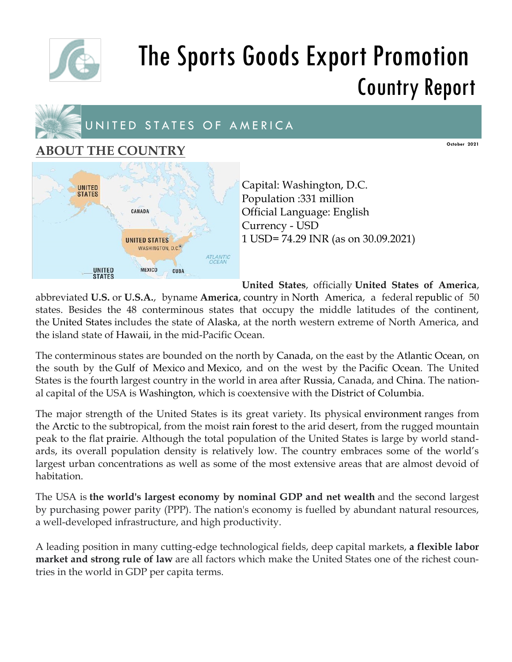

# The Sports Goods Export Promotion Country Report



### **ABOUT THE COUNTRY**

**UNITED STATES** CANADA **UNITED STATES** WASHINGTON, D.C. **ATLANTIC UNITED MEXICO** CUBA **STATES** 

Capital: Washington, D.C. Population :331 million Official Language: English Currency - USD 1 USD= 74.29 INR (as on 30.09.2021)

**United States**, officially **United States of America**,

**October 2021**

abbreviated **U.S.** or **U.S.A.**, byname **America**, country in North America, a federal republic of 50 states. Besides the 48 conterminous states that occupy the middle latitudes of the continent, the United States includes the state of Alaska, at the north western extreme of North America, and the island state of Hawaii, in the mid-Pacific Ocean.

The conterminous states are bounded on the north by Canada, on the east by the Atlantic Ocean, on the south by the Gulf of Mexico and Mexico, and on the west by the Pacific Ocean. The United States is the fourth largest country in the world in area after Russia, Canada, and China. The national capital of the USA is Washington, which is coextensive with the District of Columbia.

The major strength of the United States is its great variety. Its physical environment ranges from the Arctic to the subtropical, from the moist rain forest to the arid desert, from the rugged mountain peak to the flat prairie. Although the total population of the United States is large by world standards, its overall population density is relatively low. The country embraces some of the world's largest urban concentrations as well as some of the most extensive areas that are almost devoid of habitation.

The USA is **the world's largest economy by nominal GDP and net wealth** and the second largest by purchasing power parity (PPP). The nation's economy is fuelled by abundant natural resources, a well-developed infrastructure, and high productivity.

A leading position in many cutting-edge technological fields, deep capital markets, **a flexible labor market and strong rule of law** are all factors which make the United States one of the richest countries in the world in GDP per capita terms.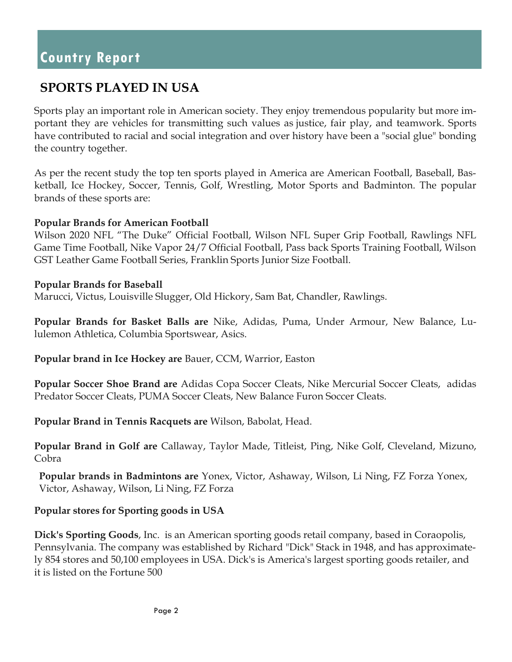### **SPORTS PLAYED IN USA**

Sports play an important role in American society. They enjoy tremendous popularity but more important they are vehicles for transmitting such values as justice, fair play, and teamwork. Sports have contributed to racial and social integration and over history have been a "social glue" bonding the country together.

As per the recent study the top ten sports played in America are American Football, Baseball, Basketball, Ice Hockey, Soccer, Tennis, Golf, Wrestling, Motor Sports and Badminton. The popular brands of these sports are:

### **Popular Brands for American Football**

Wilson 2020 NFL "The Duke" Official Football, Wilson NFL Super Grip Football, Rawlings NFL Game Time Football, Nike Vapor 24/7 Official Football, Pass back Sports Training Football, Wilson GST Leather Game Football Series, Franklin Sports Junior Size Football.

### **Popular Brands for Baseball**

Marucci, Victus, Louisville Slugger, Old Hickory, Sam Bat, Chandler, Rawlings.

**Popular Brands for Basket Balls are** Nike, Adidas, Puma, Under Armour, New Balance, Lululemon Athletica, Columbia Sportswear, Asics.

**Popular brand in Ice Hockey are** Bauer, CCM, Warrior, Easton

**Popular Soccer Shoe Brand are** Adidas Copa Soccer Cleats, Nike Mercurial Soccer Cleats, adidas Predator Soccer Cleats, PUMA Soccer Cleats, New Balance Furon Soccer Cleats.

**Popular Brand in Tennis Racquets are** Wilson, Babolat, Head.

**Popular Brand in Golf are** Callaway, Taylor Made, Titleist, Ping, Nike Golf, Cleveland, Mizuno, Cobra

**Popular brands in Badmintons are** Yonex, Victor, Ashaway, Wilson, Li Ning, FZ Forza Yonex, Victor, Ashaway, Wilson, Li Ning, FZ Forza

### **Popular stores for Sporting goods in USA**

**Dick's Sporting Goods**, Inc. is an American sporting goods retail company, based in Coraopolis, Pennsylvania. The company was established by Richard "Dick" Stack in 1948, and has approximately 854 stores and 50,100 employees in USA. Dick's is America's largest sporting goods retailer, and it is listed on the Fortune 500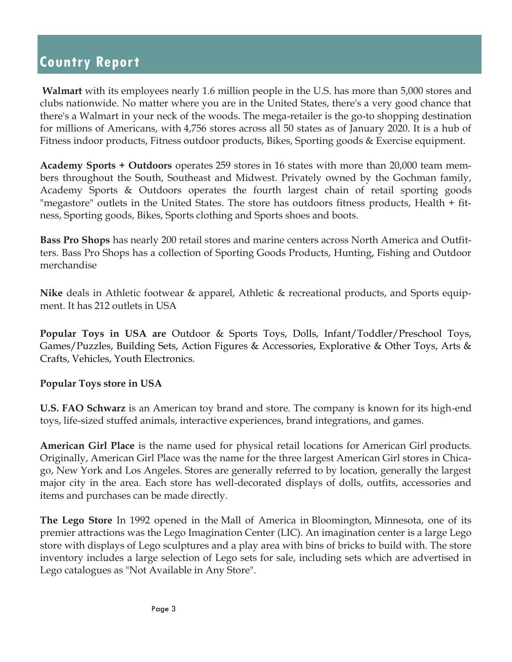**Walmart** with its employees nearly 1.6 million people in the U.S. has more than 5,000 stores and clubs nationwide. No matter where you are in the United States, there's a very good chance that there's a Walmart in your neck of the woods. The mega-retailer is the go-to shopping destination for millions of Americans, with 4,756 stores across all 50 states as of January 2020. It is a hub of Fitness indoor products, Fitness outdoor products, Bikes, Sporting goods & Exercise equipment.

**Academy Sports + Outdoors** operates 259 stores in 16 states with more than 20,000 team members throughout the South, Southeast and Midwest. Privately owned by the Gochman family, Academy Sports & Outdoors operates the fourth largest chain of retail sporting goods "megastore" outlets in the United States. The store has outdoors fitness products, Health + fitness, Sporting goods, Bikes, Sports clothing and Sports shoes and boots.

**Bass Pro Shops** has nearly 200 retail stores and marine centers across North America and Outfitters. Bass Pro Shops has a collection of Sporting Goods Products, Hunting, Fishing and Outdoor merchandise

**Nike** deals in Athletic footwear & apparel, Athletic & recreational products, and Sports equipment. It has 212 outlets in USA

**Popular Toys in USA are** Outdoor & Sports Toys, Dolls, Infant/Toddler/Preschool Toys, Games/Puzzles, Building Sets, Action Figures & Accessories, Explorative & Other Toys, Arts & Crafts, Vehicles, Youth Electronics.

### **Popular Toys store in USA**

**U.S. FAO Schwarz** is an American toy brand and store. The company is known for its high-end toys, life-sized stuffed animals, interactive experiences, brand integrations, and games.

**American Girl Place** is the name used for physical retail locations for American Girl products. Originally, American Girl Place was the name for the three largest American Girl stores in Chicago, New York and Los Angeles. Stores are generally referred to by location, generally the largest major city in the area. Each store has well-decorated displays of dolls, outfits, accessories and items and purchases can be made directly.

**The Lego Store** In 1992 opened in the Mall of America in Bloomington, Minnesota, one of its premier attractions was the Lego Imagination Center (LIC). An imagination center is a large Lego store with displays of Lego sculptures and a play area with bins of bricks to build with. The store inventory includes a large selection of Lego sets for sale, including sets which are advertised in Lego catalogues as "Not Available in Any Store".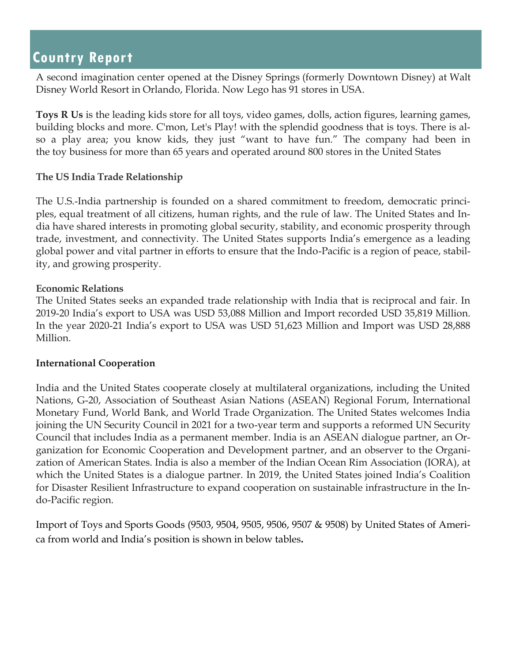A second imagination center opened at the Disney Springs (formerly Downtown Disney) at Walt Disney World Resort in Orlando, Florida. Now Lego has 91 stores in USA.

**Toys R Us** is the leading kids store for all toys, video games, dolls, action figures, learning games, building blocks and more. C'mon, Let's Play! with the splendid goodness that is toys. There is also a play area; you know kids, they just "want to have fun." The company had been in the toy business for more than 65 years and operated around 800 stores in the United States

### **The US India Trade Relationship**

The U.S.-India partnership is founded on a shared commitment to freedom, democratic principles, equal treatment of all citizens, human rights, and the rule of law. The United States and India have shared interests in promoting global security, stability, and economic prosperity through trade, investment, and connectivity. The United States supports India's emergence as a leading global power and vital partner in efforts to ensure that the Indo-Pacific is a region of peace, stability, and growing prosperity.

### **Economic Relations**

The United States seeks an expanded trade relationship with India that is reciprocal and fair. In 2019-20 India's export to USA was USD 53,088 Million and Import recorded USD 35,819 Million. In the year 2020-21 India's export to USA was USD 51,623 Million and Import was USD 28,888 Million.

### **International Cooperation**

India and the United States cooperate closely at multilateral organizations, including the United Nations, G-20, Association of Southeast Asian Nations (ASEAN) Regional Forum, International Monetary Fund, World Bank, and World Trade Organization. The United States welcomes India joining the UN Security Council in 2021 for a two-year term and supports a reformed UN Security Council that includes India as a permanent member. India is an ASEAN dialogue partner, an Organization for Economic Cooperation and Development partner, and an observer to the Organization of American States. India is also a member of the Indian Ocean Rim Association (IORA), at which the United States is a dialogue partner. In 2019, the United States joined India's Coalition for Disaster Resilient Infrastructure to expand cooperation on sustainable infrastructure in the Indo-Pacific region.

Import of Toys and Sports Goods (9503, 9504, 9505, 9506, 9507 & 9508) by United States of America from world and India's position is shown in below tables**.**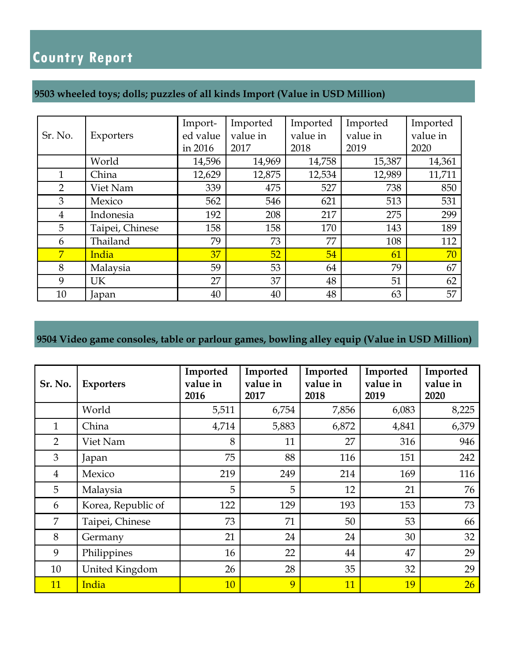### **9503 wheeled toys; dolls; puzzles of all kinds Import (Value in USD Million)**

| Sr. No.        | Exporters       | Import-<br>ed value<br>in 2016 | Imported<br>value in<br>2017 | Imported<br>value in<br>2018 | Imported<br>value in<br>2019 | Imported<br>value in<br>2020 |
|----------------|-----------------|--------------------------------|------------------------------|------------------------------|------------------------------|------------------------------|
|                | World           | 14,596                         | 14,969                       | 14,758                       | 15,387                       | 14,361                       |
| $\mathbf{1}$   | China           | 12,629                         | 12,875                       | 12,534                       | 12,989                       | 11,711                       |
| $\overline{2}$ | Viet Nam        | 339                            | 475                          | 527                          | 738                          | 850                          |
| 3              | Mexico          | 562                            | 546                          | 621                          | 513                          | 531                          |
| 4              | Indonesia       | 192                            | 208                          | 217                          | 275                          | 299                          |
| 5              | Taipei, Chinese | 158                            | 158                          | 170                          | 143                          | 189                          |
| 6              | Thailand        | 79                             | 73                           | 77                           | 108                          | 112                          |
| 7              | India           | 37                             | 52                           | 54                           | 61                           | 70                           |
| 8              | Malaysia        | 59                             | 53                           | 64                           | 79                           | 67                           |
| 9              | UK              | 27                             | 37                           | 48                           | 51                           | 62                           |
| 10             | Japan           | 40                             | 40                           | 48                           | 63                           | 57                           |

### **9504 Video game consoles, table or parlour games, bowling alley equip (Value in USD Million)**

| Sr. No.        | <b>Exporters</b>   | Imported<br>value in<br>2016 | Imported<br>value in<br>2017 | Imported<br>value in<br>2018 | Imported<br>value in<br>2019 | Imported<br>value in<br>2020 |
|----------------|--------------------|------------------------------|------------------------------|------------------------------|------------------------------|------------------------------|
|                | World              | 5,511                        | 6,754                        | 7,856                        | 6,083                        | 8,225                        |
| $\mathbf{1}$   | China              | 4,714                        | 5,883                        | 6,872                        | 4,841                        | 6,379                        |
| $\overline{2}$ | Viet Nam           | 8                            | 11                           | 27                           | 316                          | 946                          |
| 3              | Japan              | 75                           | 88                           | 116                          | 151                          | 242                          |
| $\overline{4}$ | Mexico             | 219                          | 249                          | 214                          | 169                          | 116                          |
| 5              | Malaysia           | 5                            | 5                            | 12                           | 21                           | 76                           |
| 6              | Korea, Republic of | 122                          | 129                          | 193                          | 153                          | 73                           |
| 7              | Taipei, Chinese    | 73                           | 71                           | 50                           | 53                           | 66                           |
| 8              | Germany            | 21                           | 24                           | 24                           | 30                           | 32                           |
| 9              | Philippines        | 16                           | 22                           | 44                           | 47                           | 29                           |
| 10             | United Kingdom     | 26                           | 28                           | 35                           | 32                           | 29                           |
| 11             | India              | <b>10</b>                    | 9                            | 11                           | 19                           | 26                           |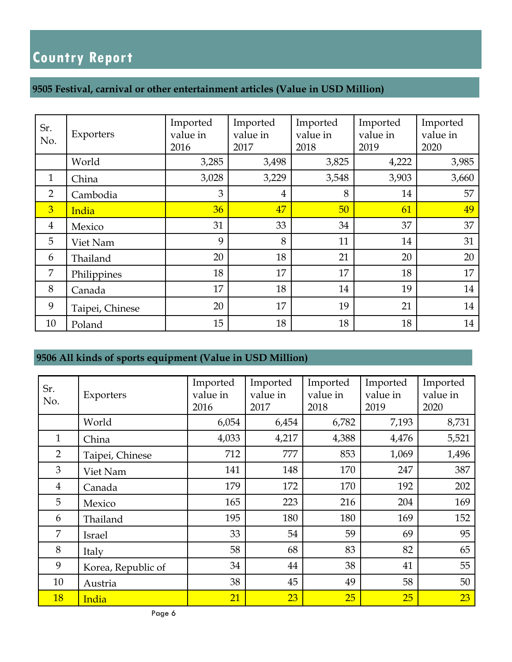### **9505 Festival, carnival or other entertainment articles (Value in USD Million)**

| Sr.<br>No.     | Exporters       | Imported<br>value in<br>2016 | Imported<br>value in<br>2017 | Imported<br>value in<br>2018 | Imported<br>value in<br>2019 | Imported<br>value in<br>2020 |
|----------------|-----------------|------------------------------|------------------------------|------------------------------|------------------------------|------------------------------|
|                | World           | 3,285                        | 3,498                        | 3,825                        | 4,222                        | 3,985                        |
| $\mathbf{1}$   | China           | 3,028                        | 3,229                        | 3,548                        | 3,903                        | 3,660                        |
| $\overline{2}$ | Cambodia        | 3                            | $\overline{4}$               | 8                            | 14                           | 57                           |
| $\overline{3}$ | India           | 36                           | 47                           | 50                           | 61                           | 49                           |
| $\overline{4}$ | Mexico          | 31                           | 33                           | 34                           | 37                           | 37                           |
| 5              | Viet Nam        | 9                            | 8                            | 11                           | 14                           | 31                           |
| 6              | Thailand        | 20                           | 18                           | 21                           | 20                           | 20                           |
| 7              | Philippines     | 18                           | 17                           | 17                           | 18                           | 17                           |
| 8              | Canada          | 17                           | 18                           | 14                           | 19                           | 14                           |
| 9              | Taipei, Chinese | 20                           | 17                           | 19                           | 21                           | 14                           |
| 10             | Poland          | 15                           | 18                           | 18                           | 18                           | 14                           |

### **9506 All kinds of sports equipment (Value in USD Million)**

| Sr.            |                    | Imported | Imported | Imported | Imported | Imported |
|----------------|--------------------|----------|----------|----------|----------|----------|
| No.            | Exporters          | value in | value in | value in | value in | value in |
|                |                    | 2016     | 2017     | 2018     | 2019     | 2020     |
|                | World              | 6,054    | 6,454    | 6,782    | 7,193    | 8,731    |
| $\mathbf{1}$   | China              | 4,033    | 4,217    | 4,388    | 4,476    | 5,521    |
| $\overline{2}$ | Taipei, Chinese    | 712      | 777      | 853      | 1,069    | 1,496    |
| 3              | Viet Nam           | 141      | 148      | 170      | 247      | 387      |
| $\overline{4}$ | Canada             | 179      | 172      | 170      | 192      | 202      |
| 5              | Mexico             | 165      | 223      | 216      | 204      | 169      |
| 6              | Thailand           | 195      | 180      | 180      | 169      | 152      |
| 7              | <b>Israel</b>      | 33       | 54       | 59       | 69       | 95       |
| 8              | Italy              | 58       | 68       | 83       | 82       | 65       |
| 9              | Korea, Republic of | 34       | 44       | 38       | 41       | 55       |
| 10             | Austria            | 38       | 45       | 49       | 58       | 50       |
| <b>18</b>      | India              | 21       | 23       | 25       | 25       | 23       |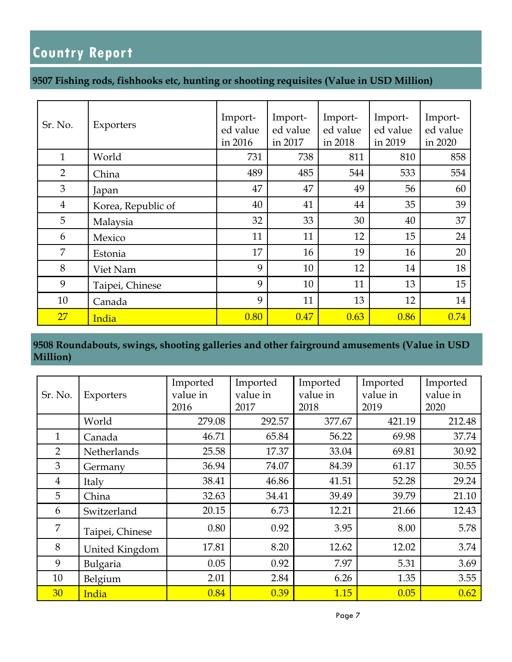### **9507 Fishing rods, fishhooks etc, hunting or shooting requisites (Value in USD Million)**

| Sr. No.        | Exporters          | Import-<br>ed value<br>in 2016 | Import-<br>ed value<br>in 2017 | Import-<br>ed value<br>in 2018 | Import-<br>ed value<br>in 2019 | Import-<br>ed value<br>in 2020 |
|----------------|--------------------|--------------------------------|--------------------------------|--------------------------------|--------------------------------|--------------------------------|
| $\mathbf{1}$   | World              | 731                            | 738                            | 811                            | 810                            | 858                            |
| $\overline{2}$ | China              | 489                            | 485                            | 544                            | 533                            | 554                            |
| 3              | Japan              | 47                             | 47                             | 49                             | 56                             | 60                             |
| $\overline{4}$ | Korea, Republic of | 40                             | 41                             | 44                             | 35                             | 39                             |
| 5              | Malaysia           | 32                             | 33                             | 30                             | 40                             | 37                             |
| 6              | Mexico             | 11                             | 11                             | 12                             | 15                             | 24                             |
| 7              | Estonia            | 17                             | 16                             | 19                             | 16                             | 20                             |
| 8              | Viet Nam           | 9                              | 10                             | 12                             | 14                             | 18                             |
| 9              | Taipei, Chinese    | 9                              | 10                             | 11                             | 13                             | 15                             |
| 10             | Canada             | 9                              | 11                             | 13                             | 12                             | 14                             |
| 27             | India              | 0.80                           | 0.47                           | 0.63                           | 0.86                           | 0.74                           |

**9508 Roundabouts, swings, shooting galleries and other fairground amusements (Value in USD Million)**

|                |                 | Imported | Imported | Imported | Imported | Imported |
|----------------|-----------------|----------|----------|----------|----------|----------|
| Sr. No.        | Exporters       | value in | value in | value in | value in | value in |
|                |                 | 2016     | 2017     | 2018     | 2019     | 2020     |
|                | World           | 279.08   | 292.57   | 377.67   | 421.19   | 212.48   |
| 1              | Canada          | 46.71    | 65.84    | 56.22    | 69.98    | 37.74    |
| $\overline{2}$ | Netherlands     | 25.58    | 17.37    | 33.04    | 69.81    | 30.92    |
| 3              | Germany         | 36.94    | 74.07    | 84.39    | 61.17    | 30.55    |
| $\overline{4}$ | Italy           | 38.41    | 46.86    | 41.51    | 52.28    | 29.24    |
| 5              | China           | 32.63    | 34.41    | 39.49    | 39.79    | 21.10    |
| 6              | Switzerland     | 20.15    | 6.73     | 12.21    | 21.66    | 12.43    |
| 7              | Taipei, Chinese | 0.80     | 0.92     | 3.95     | 8.00     | 5.78     |
| 8              | United Kingdom  | 17.81    | 8.20     | 12.62    | 12.02    | 3.74     |
| 9              | Bulgaria        | 0.05     | 0.92     | 7.97     | 5.31     | 3.69     |
| 10             | Belgium         | 2.01     | 2.84     | 6.26     | 1.35     | 3.55     |
| 30             | India           | 0.84     | 0.39     | 1.15     | 0.05     | 0.62     |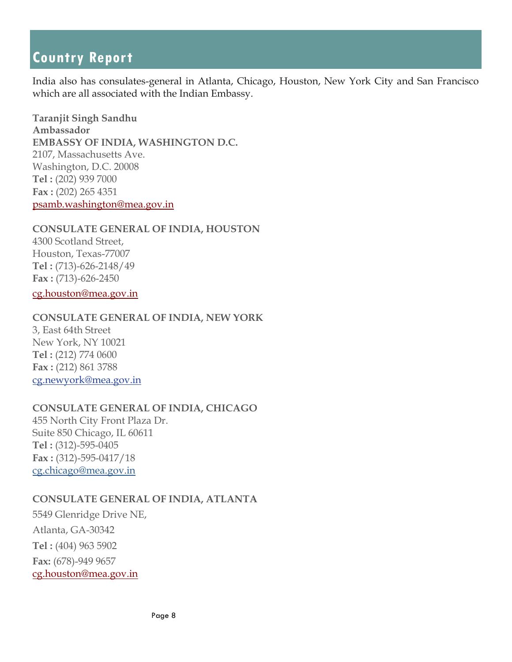India also has consulates-general in Atlanta, Chicago, Houston, New York City and San Francisco which are all associated with the Indian Embassy.

**Taranjit Singh Sandhu Ambassador EMBASSY OF INDIA, WASHINGTON D.C.**  2107, Massachusetts Ave. Washington, D.C. 20008 **Tel :** (202) 939 7000 **Fax :** (202) 265 4351 psamb.washington@mea.gov.in

#### **CONSULATE GENERAL OF INDIA, HOUSTON**

4300 Scotland Street, Houston, Texas-77007 **Tel :** (713)-626-2148/49 **Fax :** (713)-626-2450 cg.houston@mea.gov.in

#### **CONSULATE GENERAL OF INDIA, NEW YORK**

3, East 64th Street New York, NY 10021 **Tel :** (212) 774 0600 **Fax :** (212) 861 3788 cg.newyork@mea.gov.in

### **CONSULATE GENERAL OF INDIA, CHICAGO**

455 North City Front Plaza Dr. Suite 850 Chicago, IL 60611 **Tel :** (312)-595-0405 **Fax :** (312)-595-0417/18 cg.chicago@mea.gov.in

### **CONSULATE GENERAL OF INDIA, ATLANTA**

5549 Glenridge Drive NE, Atlanta, GA-30342 **Tel :** (404) 963 5902 **Fax:** (678)-949 9657 cg.houston@mea.gov.in